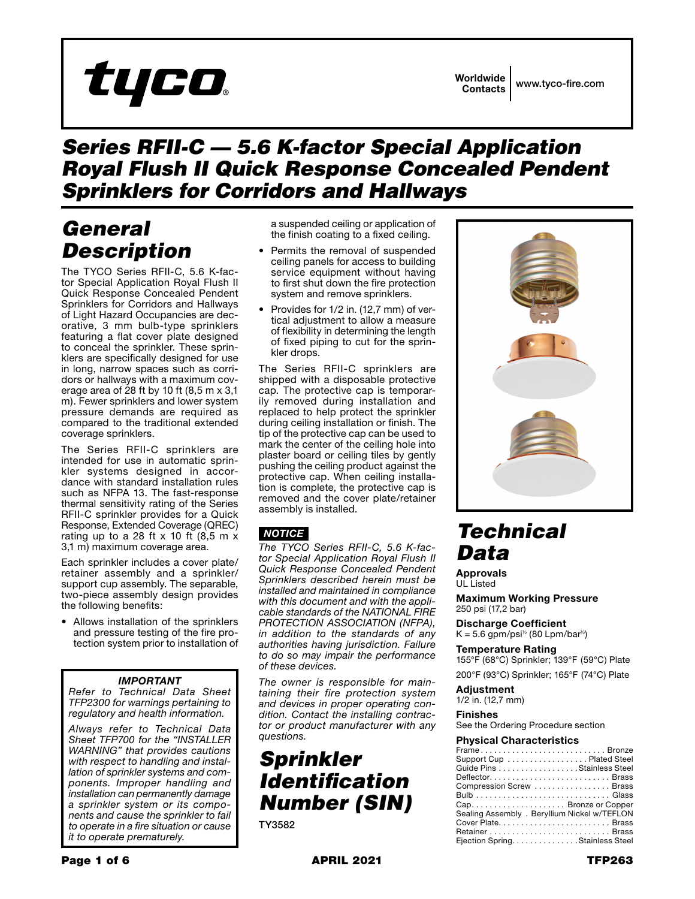# tyco

## *Series RFII-C — 5.6 K-factor Special Application Royal Flush II Quick Response Concealed Pendent Sprinklers for Corridors and Hallways*

# *General Description*

The TYCO Series RFII-C, 5.6 K-factor Special Application Royal Flush II Quick Response Concealed Pendent Sprinklers for Corridors and Hallways of Light Hazard Occupancies are decorative, 3 mm bulb-type sprinklers featuring a flat cover plate designed to conceal the sprinkler. These sprinklers are specifically designed for use in long, narrow spaces such as corridors or hallways with a maximum coverage area of 28 ft by 10 ft (8,5 m x 3,1 m). Fewer sprinklers and lower system pressure demands are required as compared to the traditional extended coverage sprinklers.

The Series RFII-C sprinklers are intended for use in automatic sprinkler systems designed in accordance with standard installation rules such as NFPA 13. The fast-response thermal sensitivity rating of the Series RFII-C sprinkler provides for a Quick Response, Extended Coverage (QREC) rating up to a 28 ft  $x$  10 ft (8,5 m  $x$ ) 3,1 m) maximum coverage area.

Each sprinkler includes a cover plate/ retainer assembly and a sprinkler/ support cup assembly. The separable, two-piece assembly design provides the following benefits:

• Allows installation of the sprinklers and pressure testing of the fire protection system prior to installation of

### *IMPORTANT*

*Refer to Technical Data Sheet TFP2300 for warnings pertaining to regulatory and health information.*

*Always refer to Technical Data Sheet TFP700 for the "INSTALLER WARNING" that provides cautions with respect to handling and installation of sprinkler systems and components. Improper handling and installation can permanently damage a sprinkler system or its components and cause the sprinkler to fail to operate in a fire situation or cause it to operate prematurely.*

a suspended ceiling or application of the finish coating to a fixed ceiling.

- Permits the removal of suspended ceiling panels for access to building service equipment without having to first shut down the fire protection system and remove sprinklers.
- Provides for 1/2 in. (12,7 mm) of vertical adjustment to allow a measure of flexibility in determining the length of fixed piping to cut for the sprinkler drops.

The Series RFII-C sprinklers are shipped with a disposable protective cap. The protective cap is temporarily removed during installation and replaced to help protect the sprinkler during ceiling installation or finish. The tip of the protective cap can be used to mark the center of the ceiling hole into plaster board or ceiling tiles by gently pushing the ceiling product against the protective cap. When ceiling installation is complete, the protective cap is removed and the cover plate/retainer assembly is installed.

### *NOTICE*

*The TYCO Series RFII-C, 5.6 K-factor Special Application Royal Flush II Quick Response Concealed Pendent Sprinklers described herein must be installed and maintained in compliance with this document and with the applicable standards of the NATIONAL FIRE PROTECTION ASSOCIATION (NFPA), in addition to the standards of any authorities having jurisdiction. Failure to do so may impair the performance of these devices.*

*The owner is responsible for maintaining their fire protection system and devices in proper operating condition. Contact the installing contractor or product manufacturer with any questions.*

# *Sprinkler Identification Number (SIN)*

TY3582



# *Technical Data*

Approvals UL Listed

Maximum Working Pressure 250 psi (17,2 bar)

Discharge Coefficient  $K = 5.6$  gpm/psi<sup>1/2</sup> (80 Lpm/bar<sup>1/2</sup>)

Temperature Rating 155°F (68°C) Sprinkler; 139°F (59°C) Plate

200°F (93°C) Sprinkler; 165°F (74°C) Plate

**Adjustment** 

1/2 in. (12,7 mm) Finishes

See the Ordering Procedure section

#### Physical Characteristics

| FrameBronze                                  |
|----------------------------------------------|
| Support Cup Plated Steel                     |
| Guide Pins Stainless Steel                   |
| DeflectorBrass                               |
| Compression Screw  Brass                     |
|                                              |
|                                              |
| Sealing Assembly . Beryllium Nickel w/TEFLON |
| Cover Plate Brass                            |
|                                              |
| Ejection Spring. Stainless Steel             |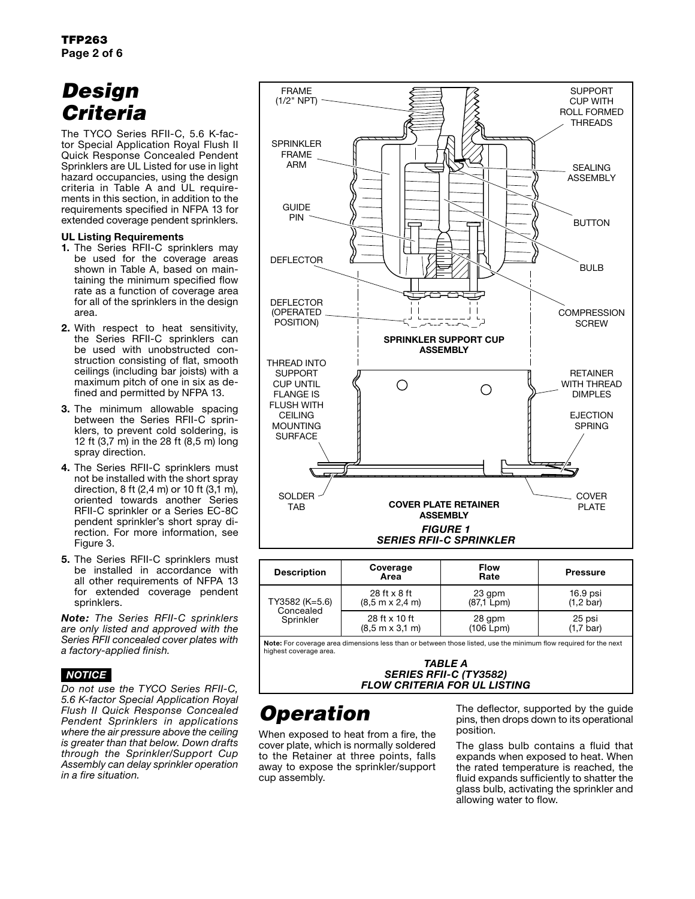# *Design Criteria*

The TYCO Series RFII-C, 5.6 K-factor Special Application Royal Flush II Quick Response Concealed Pendent Sprinklers are UL Listed for use in light hazard occupancies, using the design criteria in Table A and UL requirements in this section, in addition to the requirements specified in NFPA 13 for extended coverage pendent sprinklers.

#### UL Listing Requirements

- 1. The Series RFII-C sprinklers may be used for the coverage areas shown in Table A, based on maintaining the minimum specified flow rate as a function of coverage area for all of the sprinklers in the design area.
- 2. With respect to heat sensitivity, the Series RFII-C sprinklers can be used with unobstructed construction consisting of flat, smooth ceilings (including bar joists) with a maximum pitch of one in six as defined and permitted by NFPA 13.
- 3. The minimum allowable spacing between the Series RFII-C sprinklers, to prevent cold soldering, is 12 ft (3,7 m) in the 28 ft (8,5 m) long spray direction.
- 4. The Series RFII-C sprinklers must not be installed with the short spray direction, 8 ft  $(2,4 \text{ m})$  or 10 ft  $(3,1 \text{ m})$ , oriented towards another Series RFII-C sprinkler or a Series EC-8C pendent sprinkler's short spray direction. For more information, see Figure 3.
- 5. The Series RFII-C sprinklers must be installed in accordance with all other requirements of NFPA 13 for extended coverage pendent sprinklers.

*Note: The Series RFII-C sprinklers are only listed and approved with the Series RFII concealed cover plates with a factory-applied finish.*

### *NOTICE*

*Do not use the TYCO Series RFII-C, 5.6 K-factor Special Application Royal Flush II Quick Response Concealed Pendent Sprinklers in applications where the air pressure above the ceiling is greater than that below. Down drafts through the Sprinkler/Support Cup Assembly can delay sprinkler operation in a fire situation.*



| <b>Description</b> | Coverage<br>Area                       | <b>Flow</b><br>Rate | <b>Pressure</b>      |
|--------------------|----------------------------------------|---------------------|----------------------|
| TY3582 (K=5.6)     | 28 ft x 8 ft                           | 23 qpm              | 16.9 psi             |
|                    | $(8.5 m \times 2.4 m)$                 | (87.1 Lpm)          | $(1, 2 \text{ bar})$ |
| Concealed          | 28 ft x 10 ft                          | 28 gpm              | 25 psi               |
| Sprinkler          | $(8.5 \text{ m} \times 3.1 \text{ m})$ | (106 Lpm)           | (1,7 bar)            |

Note: For coverage area dimensions less than or between those listed, use the minimum flow required for the next highest coverage area.

#### *TABLE A SERIES RFII-C (TY3582) FLOW CRITERIA FOR UL LISTING*

# *Operation*

When exposed to heat from a fire, the cover plate, which is normally soldered to the Retainer at three points, falls away to expose the sprinkler/support cup assembly.

The deflector, supported by the guide pins, then drops down to its operational position.

The glass bulb contains a fluid that expands when exposed to heat. When the rated temperature is reached, the fluid expands sufficiently to shatter the glass bulb, activating the sprinkler and allowing water to flow.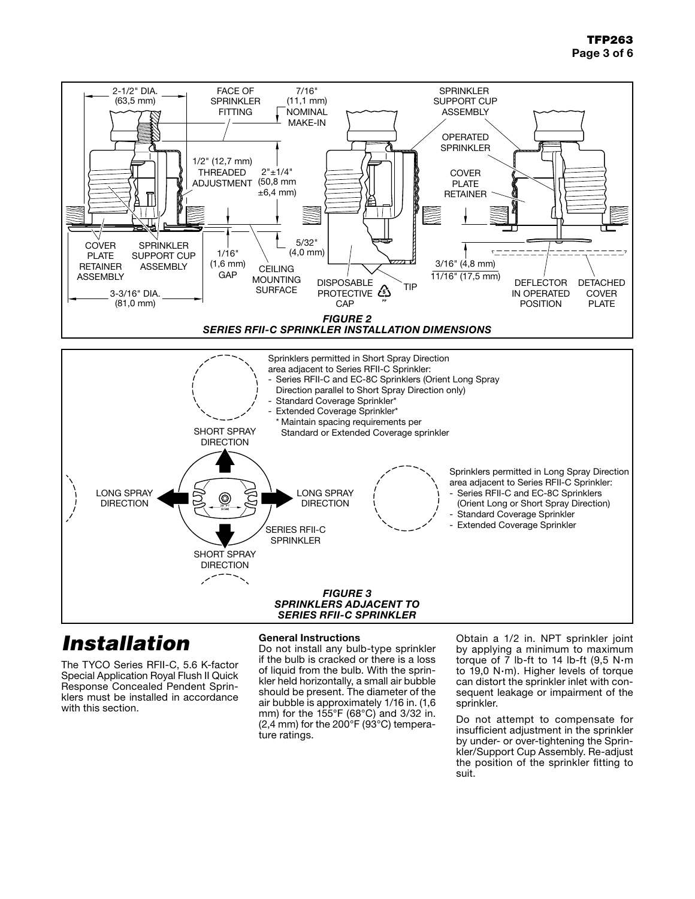

# *Installation*

The TYCO Series RFII-C, 5.6 K-factor Special Application Royal Flush II Quick Response Concealed Pendent Sprinklers must be installed in accordance with this section.

#### General Instructions

Do not install any bulb-type sprinkler if the bulb is cracked or there is a loss of liquid from the bulb. With the sprinkler held horizontally, a small air bubble should be present. The diameter of the air bubble is approximately 1/16 in. (1,6 mm) for the 155°F (68°C) and 3/32 in.  $(2,4 \text{ mm})$  for the 200 $\degree$ F (93 $\degree$ C) temperature ratings.

Obtain a 1/2 in. NPT sprinkler joint by applying a minimum to maximum torque of  $7$  lb-ft to 14 lb-ft (9,5 N $\cdot$ m to 19,0 N·m). Higher levels of torque can distort the sprinkler inlet with consequent leakage or impairment of the sprinkler.

Do not attempt to compensate for insufficient adjustment in the sprinkler by under- or over-tightening the Sprinkler/Support Cup Assembly. Re-adjust the position of the sprinkler fitting to suit.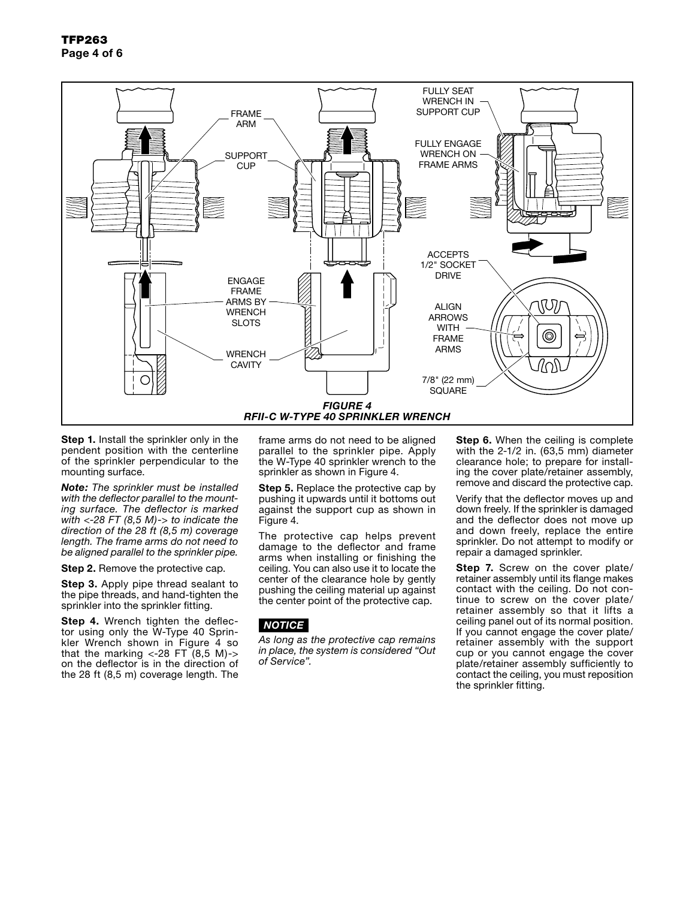

Step 1. Install the sprinkler only in the pendent position with the centerline of the sprinkler perpendicular to the mounting surface.

*Note: The sprinkler must be installed with the deflector parallel to the mounting surface. The deflector is marked with <-28 FT (8,5 M)-> to indicate the direction of the 28 ft (8,5 m) coverage length. The frame arms do not need to be aligned parallel to the sprinkler pipe.*

Step 2. Remove the protective cap.

Step 3. Apply pipe thread sealant to the pipe threads, and hand-tighten the sprinkler into the sprinkler fitting.

Step 4. Wrench tighten the deflector using only the W-Type 40 Sprinkler Wrench shown in Figure 4 so that the marking  $\langle -28 \text{ FT } (8,5 \text{ M}) \rangle$ on the deflector is in the direction of the 28 ft (8,5 m) coverage length. The frame arms do not need to be aligned parallel to the sprinkler pipe. Apply the W-Type 40 sprinkler wrench to the sprinkler as shown in Figure 4.

**Step 5.** Replace the protective cap by pushing it upwards until it bottoms out against the support cup as shown in Figure 4.

The protective cap helps prevent damage to the deflector and frame arms when installing or finishing the ceiling. You can also use it to locate the center of the clearance hole by gently pushing the ceiling material up against the center point of the protective cap.

### *NOTICE*

*As long as the protective cap remains in place, the system is considered "Out of Service".*

Step 6. When the ceiling is complete with the 2-1/2 in. (63,5 mm) diameter clearance hole; to prepare for installing the cover plate/retainer assembly, remove and discard the protective cap.

Verify that the deflector moves up and down freely. If the sprinkler is damaged and the deflector does not move up and down freely, replace the entire sprinkler. Do not attempt to modify or repair a damaged sprinkler.

Step 7. Screw on the cover plate/ retainer assembly until its flange makes contact with the ceiling. Do not continue to screw on the cover plate/ retainer assembly so that it lifts a ceiling panel out of its normal position. If you cannot engage the cover plate/ retainer assembly with the support cup or you cannot engage the cover plate/retainer assembly sufficiently to contact the ceiling, you must reposition the sprinkler fitting.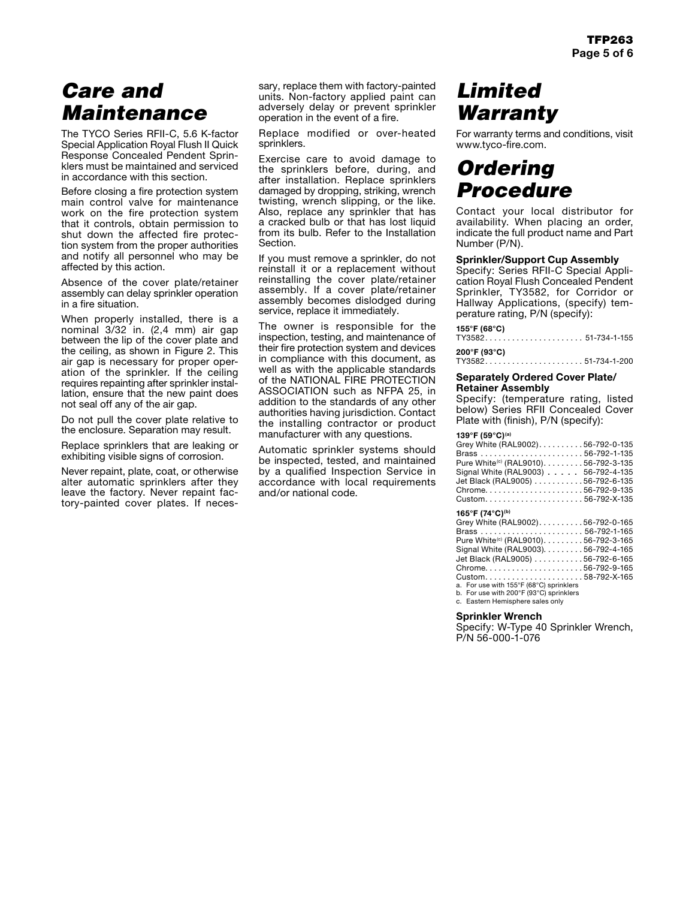# *Care and Maintenance*

The TYCO Series RFII-C, 5.6 K-factor Special Application Royal Flush II Quick Response Concealed Pendent Sprinklers must be maintained and serviced in accordance with this section.

Before closing a fire protection system main control valve for maintenance work on the fire protection system that it controls, obtain permission to shut down the affected fire protection system from the proper authorities and notify all personnel who may be affected by this action.

Absence of the cover plate/retainer assembly can delay sprinkler operation in a fire situation.

When properly installed, there is a nominal 3/32 in. (2,4 mm) air gap between the lip of the cover plate and the ceiling, as shown in Figure 2. This air gap is necessary for proper operation of the sprinkler. If the ceiling requires repainting after sprinkler installation, ensure that the new paint does not seal off any of the air gap.

Do not pull the cover plate relative to the enclosure. Separation may result.

Replace sprinklers that are leaking or exhibiting visible signs of corrosion.

Never repaint, plate, coat, or otherwise alter automatic sprinklers after they leave the factory. Never repaint factory-painted cover plates. If necessary, replace them with factory-painted units. Non-factory applied paint can adversely delay or prevent sprinkler operation in the event of a fire.

Replace modified or over-heated sprinklers.

Exercise care to avoid damage to the sprinklers before, during, and after installation. Replace sprinklers damaged by dropping, striking, wrench twisting, wrench slipping, or the like. Also, replace any sprinkler that has a cracked bulb or that has lost liquid from its bulb. Refer to the Installation Section.

If you must remove a sprinkler, do not reinstall it or a replacement without reinstalling the cover plate/retainer assembly. If a cover plate/retainer assembly becomes dislodged during service, replace it immediately.

The owner is responsible for the inspection, testing, and maintenance of their fire protection system and devices in compliance with this document, as well as with the applicable standards of the NATIONAL FIRE PROTECTION ASSOCIATION such as NFPA 25, in addition to the standards of any other authorities having jurisdiction. Contact the installing contractor or product manufacturer with any questions.

Automatic sprinkler systems should be inspected, tested, and maintained by a qualified Inspection Service in accordance with local requirements and/or national code.

# *Limited Warranty*

For warranty terms and conditions, visit www.tyco-fire.com.

## *Ordering Procedure*

Contact your local distributor for availability. When placing an order, indicate the full product name and Part Number (P/N).

#### Sprinkler/Support Cup Assembly

Specify: Series RFII-C Special Application Royal Flush Concealed Pendent Sprinkler, TY3582, for Corridor or Hallway Applications, (specify) temperature rating, P/N (specify):

#### **155°F (68°C)**

|  |  |  |  |  |  |  |  |  | TY358251-734-1-155 |  |
|--|--|--|--|--|--|--|--|--|--------------------|--|
|  |  |  |  |  |  |  |  |  |                    |  |

**200°F (93°C)** . . . . . . . . . . . . . . . 51-734-1-200

#### Separately Ordered Cover Plate/ Retainer Assembly

Specify: (temperature rating, listed below) Series RFII Concealed Cover Plate with (finish), P/N (specify):

#### **139°F (59°C)(a)**

| Grey White (RAL9002). 56-792-0-135                |  |
|---------------------------------------------------|--|
|                                                   |  |
| Pure White <sup>(c)</sup> (RAL9010). 56-792-3-135 |  |
| Signal White (RAL9003) 56-792-4-135               |  |
| Jet Black (RAL9005) 56-792-6-135                  |  |
| Chrome56-792-9-135                                |  |
| Custom56-792-X-135                                |  |

#### **165°F (74°C)(b)**

| Grey White (RAL9002). 56-792-0-165                |  |
|---------------------------------------------------|--|
|                                                   |  |
| Pure White <sup>(c)</sup> (RAL9010). 56-792-3-165 |  |
| Signal White (RAL9003). 56-792-4-165              |  |
| Jet Black (RAL9005) 56-792-6-165                  |  |
| Chrome56-792-9-165                                |  |
| Custom58-792-X-165                                |  |
| a. For use with 155°F (68°C) sprinklers           |  |

a. For use with 155°F (68°C) sprinklers b. For use with 200°F (93°C) sprinklers c. Eastern Hemisphere sales only

Sprinkler Wrench

Specify: W-Type 40 Sprinkler Wrench, P/N 56-000-1-076